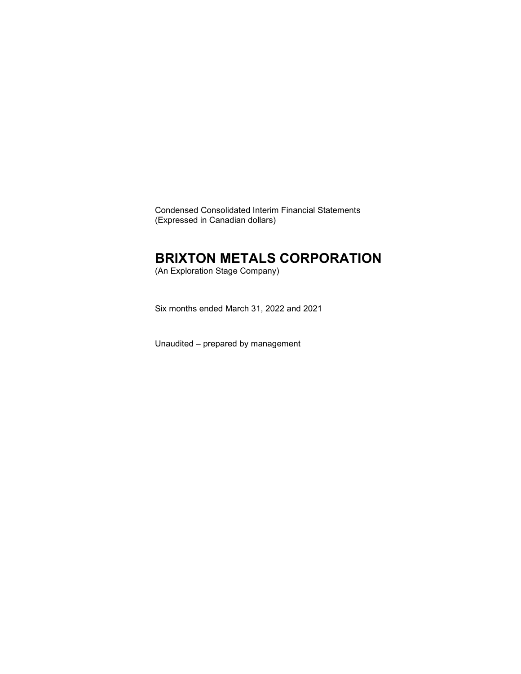Condensed Consolidated Interim Financial Statements (Expressed in Canadian dollars)

### **BRIXTON METALS CORPORATION**

(An Exploration Stage Company)

Six months ended March 31, 2022 and 2021

Unaudited – prepared by management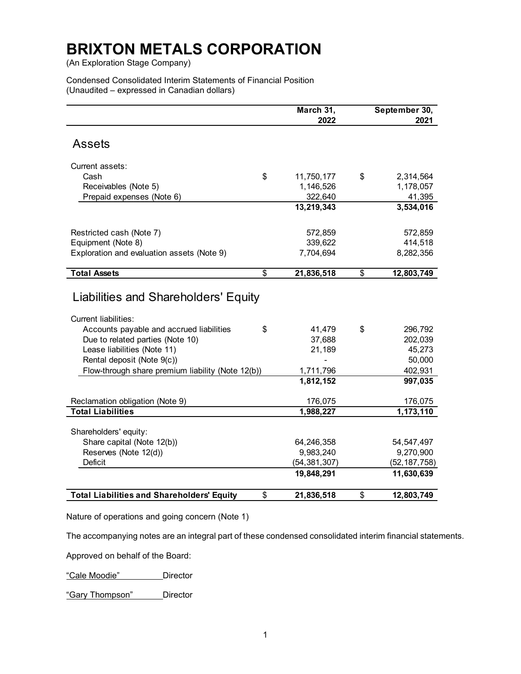(An Exploration Stage Company)

Condensed Consolidated Interim Statements of Financial Position (Unaudited – expressed in Canadian dollars)

|                                                                 |                         | March 31,        | September 30,            |
|-----------------------------------------------------------------|-------------------------|------------------|--------------------------|
|                                                                 |                         | 2022             | 2021                     |
| <b>Assets</b>                                                   |                         |                  |                          |
|                                                                 |                         |                  |                          |
| Current assets:                                                 |                         |                  |                          |
| Cash                                                            | \$                      | 11,750,177       | \$<br>2,314,564          |
| Receivables (Note 5)                                            |                         | 1,146,526        | 1,178,057                |
| Prepaid expenses (Note 6)                                       |                         | 322,640          | 41,395                   |
|                                                                 |                         | 13,219,343       | 3,534,016                |
|                                                                 |                         | 572,859          | 572,859                  |
| Restricted cash (Note 7)<br>Equipment (Note 8)                  |                         | 339,622          | 414,518                  |
| Exploration and evaluation assets (Note 9)                      |                         | 7,704,694        | 8,282,356                |
|                                                                 |                         |                  |                          |
| <b>Total Assets</b>                                             | $\overline{\mathbf{S}}$ | 21,836,518       | \$<br>12,803,749         |
| Liabilities and Shareholders' Equity                            |                         |                  |                          |
| <b>Current liabilities:</b>                                     |                         |                  |                          |
| Accounts payable and accrued liabilities                        | \$                      | 41,479           | \$<br>296,792<br>202,039 |
| Due to related parties (Note 10)<br>Lease liabilities (Note 11) |                         | 37,688<br>21,189 | 45,273                   |
| Rental deposit (Note 9(c))                                      |                         |                  | 50,000                   |
| Flow-through share premium liability (Note 12(b))               |                         | 1,711,796        | 402,931                  |
|                                                                 |                         | 1,812,152        | 997,035                  |
|                                                                 |                         |                  |                          |
| Reclamation obligation (Note 9)                                 |                         | 176,075          | 176,075                  |
| <b>Total Liabilities</b>                                        |                         | 1,988,227        | 1,173,110                |
| Shareholders' equity:                                           |                         |                  |                          |
| Share capital (Note 12(b))                                      |                         | 64,246,358       | 54, 547, 497             |
| Reserves (Note 12(d))                                           |                         | 9,983,240        | 9,270,900                |
| <b>Deficit</b>                                                  |                         | (54, 381, 307)   | (52, 187, 758)           |
|                                                                 |                         | 19,848,291       | 11,630,639               |
| <b>Total Liabilities and Shareholders' Equity</b>               | \$                      | 21,836,518       | \$<br>12,803,749         |

Nature of operations and going concern (Note 1)

The accompanying notes are an integral part of these condensed consolidated interim financial statements.

Approved on behalf of the Board:

"Cale Moodie" Director

"Gary Thompson" Director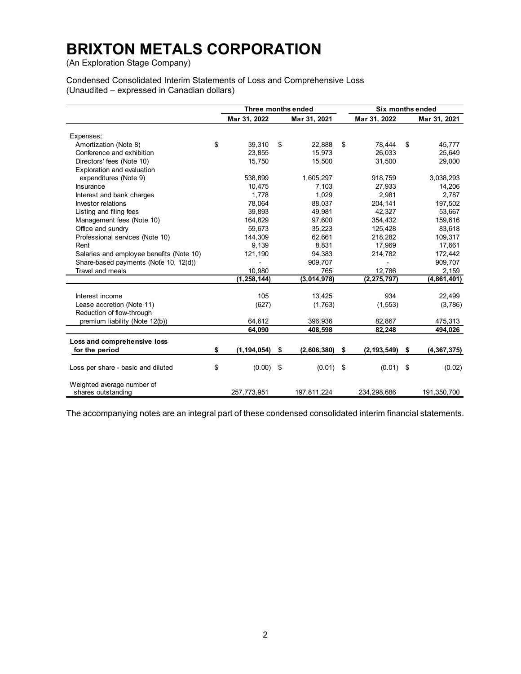(An Exploration Stage Company)

Condensed Consolidated Interim Statements of Loss and Comprehensive Loss (Unaudited – expressed in Canadian dollars)

|                                          | Three months ended  |    |              |                     | Six months ended |               |
|------------------------------------------|---------------------|----|--------------|---------------------|------------------|---------------|
|                                          | Mar 31, 2022        |    | Mar 31, 2021 | Mar 31, 2022        |                  | Mar 31, 2021  |
|                                          |                     |    |              |                     |                  |               |
| Expenses:                                | \$<br>39,310        | \$ | 22,888       | \$<br>78.444        | \$               | 45,777        |
| Amortization (Note 8)                    |                     |    |              |                     |                  |               |
| Conference and exhibition                | 23,855              |    | 15,973       | 26,033              |                  | 25,649        |
| Directors' fees (Note 10)                | 15,750              |    | 15,500       | 31,500              |                  | 29,000        |
| Exploration and evaluation               |                     |    |              |                     |                  |               |
| expenditures (Note 9)                    | 538,899             |    | 1,605,297    | 918,759             |                  | 3,038,293     |
| Insurance                                | 10,475              |    | 7.103        | 27,933              |                  | 14,206        |
| Interest and bank charges                | 1.778               |    | 1.029        | 2.981               |                  | 2.787         |
| Investor relations                       | 78,064              |    | 88,037       | 204,141             |                  | 197,502       |
| Listing and filing fees                  | 39.893              |    | 49.981       | 42.327              |                  | 53,667        |
| Management fees (Note 10)                | 164,829             |    | 97,600       | 354,432             |                  | 159,616       |
| Office and sundry                        | 59,673              |    | 35,223       | 125,428             |                  | 83,618        |
| Professional services (Note 10)          | 144,309             |    | 62,661       | 218,282             |                  | 109,317       |
| Rent                                     | 9,139               |    | 8,831        | 17,969              |                  | 17,661        |
| Salaries and employee benefits (Note 10) | 121,190             |    | 94,383       | 214,782             |                  | 172,442       |
| Share-based payments (Note 10, 12(d))    |                     |    | 909,707      |                     |                  | 909,707       |
| Travel and meals                         | 10,980              |    | 765          | 12,786              |                  | 2,159         |
|                                          | (1, 258, 144)       |    | (3,014,978)  | (2, 275, 797)       |                  | (4,861,401)   |
| Interest income                          | 105                 |    | 13,425       | 934                 |                  | 22,499        |
| Lease accretion (Note 11)                | (627)               |    | (1,763)      | (1, 553)            |                  | (3,786)       |
| Reduction of flow-through                |                     |    |              |                     |                  |               |
| premium liability (Note 12(b))           | 64,612              |    | 396,936      | 82,867              |                  | 475,313       |
|                                          | 64,090              |    | 408,598      | 82,248              |                  | 494,026       |
| Loss and comprehensive loss              |                     |    |              |                     |                  |               |
| for the period                           | \$<br>(1, 194, 054) | \$ | (2,606,380)  | \$<br>(2, 193, 549) | \$               | (4, 367, 375) |
|                                          |                     |    |              |                     |                  |               |
| Loss per share - basic and diluted       | \$<br>$(0.00)$ \$   |    | $(0.01)$ \$  | $(0.01)$ \$         |                  | (0.02)        |
| Weighted average number of               |                     |    |              |                     |                  |               |
| shares outstanding                       | 257,773,951         |    | 197,811,224  | 234,298,686         |                  | 191,350,700   |

The accompanying notes are an integral part of these condensed consolidated interim financial statements.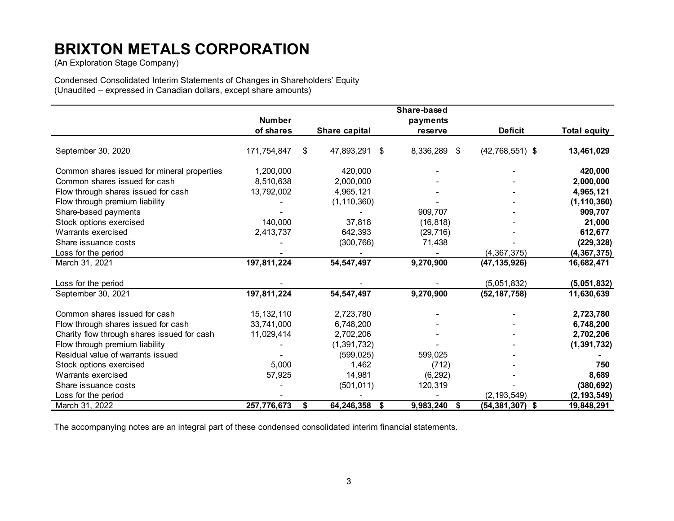(An Exploration Stage Company)

Condensed Consolidated Interim Statements of Changes in Shareholders' Equity (Unaudited – expressed in Canadian dollars, except share amounts)

|                                             |               |                     | Share-based  |                           |                     |
|---------------------------------------------|---------------|---------------------|--------------|---------------------------|---------------------|
|                                             | <b>Number</b> |                     | payments     |                           |                     |
|                                             | of shares     | Share capital       | reserve      | <b>Deficit</b>            | <b>Total equity</b> |
| September 30, 2020                          | 171,754,847   | \$<br>47,893,291 \$ | 8,336,289 \$ | $(42,768,551)$ \$         | 13,461,029          |
| Common shares issued for mineral properties | 1,200,000     | 420,000             |              |                           | 420,000             |
| Common shares issued for cash               | 8,510,638     | 2,000,000           |              |                           | 2,000,000           |
| Flow through shares issued for cash         | 13,792,002    | 4,965,121           |              |                           | 4,965,121           |
| Flow through premium liability              |               | (1, 110, 360)       |              |                           | (1, 110, 360)       |
| Share-based payments                        |               |                     | 909,707      |                           | 909,707             |
| Stock options exercised                     | 140,000       | 37,818              | (16, 818)    |                           | 21,000              |
| Warrants exercised                          | 2,413,737     | 642,393             | (29, 716)    |                           | 612,677             |
| Share issuance costs                        |               | (300, 766)          | 71,438       |                           | (229, 328)          |
| Loss for the period                         |               |                     |              | (4, 367, 375)             | (4, 367, 375)       |
| March 31, 2021                              | 197,811,224   | 54, 547, 497        | 9,270,900    | (47, 135, 926)            | 16,682,471          |
| Loss for the period                         |               |                     |              | (5,051,832)               | (5,051,832)         |
| September 30, 2021                          | 197,811,224   | 54, 547, 497        | 9,270,900    | (52, 187, 758)            | 11,630,639          |
| Common shares issued for cash               | 15, 132, 110  | 2,723,780           |              |                           | 2,723,780           |
| Flow through shares issued for cash         | 33,741,000    | 6,748,200           |              |                           | 6,748,200           |
| Charity flow through shares issued for cash | 11,029,414    | 2,702,206           |              |                           | 2,702,206           |
| Flow through premium liability              |               | (1, 391, 732)       |              |                           | (1, 391, 732)       |
| Residual value of warrants issued           |               | (599, 025)          | 599,025      |                           |                     |
| Stock options exercised                     | 5,000         | 1,462               | (712)        |                           | 750                 |
| Warrants exercised                          | 57,925        | 14,981              | (6, 292)     |                           | 8,689               |
| Share issuance costs                        |               | (501, 011)          | 120,319      |                           | (380, 692)          |
| Loss for the period                         |               |                     |              | (2, 193, 549)             | (2, 193, 549)       |
| March 31, 2022                              | 257,776,673   | \$<br>64,246,358 \$ | 9,983,240    | \$<br>$(54, 381, 307)$ \$ | 19,848,291          |

The accompanying notes are an integral part of these condensed consolidated interim financial statements.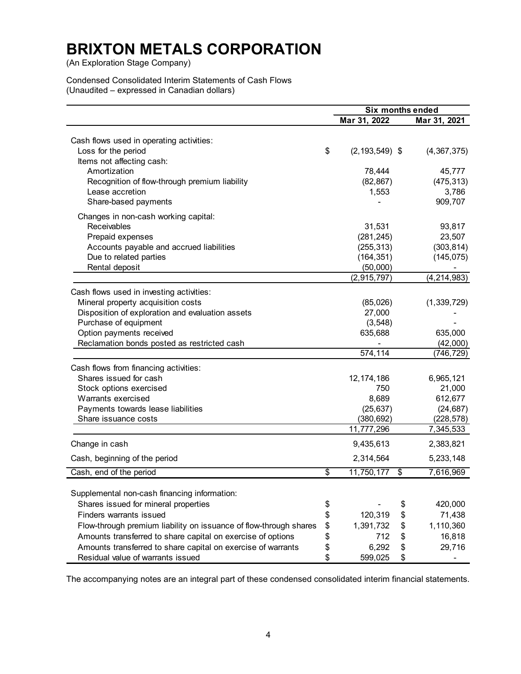(An Exploration Stage Company)

Condensed Consolidated Interim Statements of Cash Flows (Unaudited – expressed in Canadian dollars)

|                                                                                                   |                         |                    | <b>Six months ended</b> |               |
|---------------------------------------------------------------------------------------------------|-------------------------|--------------------|-------------------------|---------------|
|                                                                                                   |                         | Mar 31, 2022       |                         | Mar 31, 2021  |
|                                                                                                   |                         |                    |                         |               |
| Cash flows used in operating activities:                                                          | \$                      |                    |                         |               |
| Loss for the period<br>Items not affecting cash:                                                  |                         | $(2, 193, 549)$ \$ |                         | (4, 367, 375) |
| Amortization                                                                                      |                         | 78,444             |                         | 45,777        |
| Recognition of flow-through premium liability                                                     |                         | (82, 867)          |                         | (475, 313)    |
| Lease accretion                                                                                   |                         | 1,553              |                         | 3,786         |
| Share-based payments                                                                              |                         |                    |                         | 909,707       |
|                                                                                                   |                         |                    |                         |               |
| Changes in non-cash working capital:                                                              |                         |                    |                         |               |
| Receivables                                                                                       |                         | 31,531             |                         | 93,817        |
| Prepaid expenses                                                                                  |                         | (281, 245)         |                         | 23,507        |
| Accounts payable and accrued liabilities                                                          |                         | (255, 313)         |                         | (303, 814)    |
| Due to related parties                                                                            |                         | (164, 351)         |                         | (145, 075)    |
| Rental deposit                                                                                    |                         | (50,000)           |                         |               |
|                                                                                                   |                         | (2,915,797)        |                         | (4, 214, 983) |
| Cash flows used in investing activities:                                                          |                         |                    |                         |               |
| Mineral property acquisition costs                                                                |                         | (85,026)           |                         | (1,339,729)   |
| Disposition of exploration and evaluation assets                                                  |                         | 27,000             |                         |               |
| Purchase of equipment                                                                             |                         | (3, 548)           |                         |               |
| Option payments received                                                                          |                         | 635,688            |                         | 635,000       |
| Reclamation bonds posted as restricted cash                                                       |                         |                    |                         | (42,000)      |
|                                                                                                   |                         | 574,114            |                         | (746, 729)    |
| Cash flows from financing activities:                                                             |                         |                    |                         |               |
| Shares issued for cash                                                                            |                         | 12, 174, 186       |                         | 6,965,121     |
| Stock options exercised                                                                           |                         | 750                |                         | 21,000        |
| Warrants exercised                                                                                |                         | 8,689              |                         | 612,677       |
| Payments towards lease liabilities                                                                |                         | (25, 637)          |                         | (24, 687)     |
| Share issuance costs                                                                              |                         | (380, 692)         |                         | (228, 578)    |
|                                                                                                   |                         | 11,777,296         |                         | 7,345,533     |
| Change in cash                                                                                    |                         | 9,435,613          |                         | 2,383,821     |
| Cash, beginning of the period                                                                     |                         | 2,314,564          |                         | 5,233,148     |
| Cash, end of the period                                                                           | $\overline{\mathbf{e}}$ | 11,750,177         | \$                      | 7,616,969     |
| Supplemental non-cash financing information:                                                      |                         |                    |                         |               |
| Shares issued for mineral properties                                                              | \$                      |                    | \$                      | 420,000       |
| <b>Finders warrants issued</b>                                                                    | \$                      | 120,319            | \$                      | 71,438        |
| Flow-through premium liability on issuance of flow-through shares                                 | \$                      | 1,391,732          | \$                      | 1,110,360     |
|                                                                                                   |                         | 712                |                         | 16,818        |
| Amounts transferred to share capital on exercise of options                                       | \$                      | 6,292              | \$                      | 29,716        |
| Amounts transferred to share capital on exercise of warrants<br>Residual value of warrants issued | \$<br>\$                | 599,025            | \$<br>\$                |               |
|                                                                                                   |                         |                    |                         |               |

The accompanying notes are an integral part of these condensed consolidated interim financial statements.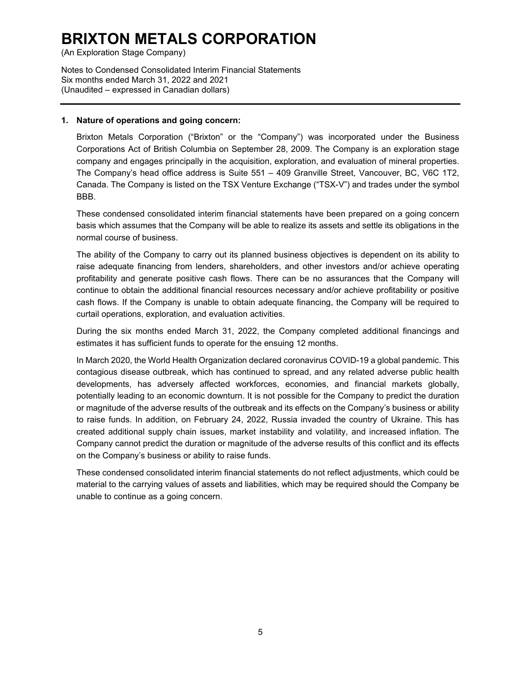(An Exploration Stage Company)

Notes to Condensed Consolidated Interim Financial Statements Six months ended March 31, 2022 and 2021 (Unaudited – expressed in Canadian dollars)

#### **1. Nature of operations and going concern:**

Brixton Metals Corporation ("Brixton" or the "Company") was incorporated under the Business Corporations Act of British Columbia on September 28, 2009. The Company is an exploration stage company and engages principally in the acquisition, exploration, and evaluation of mineral properties. The Company's head office address is Suite 551 – 409 Granville Street, Vancouver, BC, V6C 1T2, Canada. The Company is listed on the TSX Venture Exchange ("TSX-V") and trades under the symbol BBB.

These condensed consolidated interim financial statements have been prepared on a going concern basis which assumes that the Company will be able to realize its assets and settle its obligations in the normal course of business.

The ability of the Company to carry out its planned business objectives is dependent on its ability to raise adequate financing from lenders, shareholders, and other investors and/or achieve operating profitability and generate positive cash flows. There can be no assurances that the Company will continue to obtain the additional financial resources necessary and/or achieve profitability or positive cash flows. If the Company is unable to obtain adequate financing, the Company will be required to curtail operations, exploration, and evaluation activities.

During the six months ended March 31, 2022, the Company completed additional financings and estimates it has sufficient funds to operate for the ensuing 12 months.

In March 2020, the World Health Organization declared coronavirus COVID-19 a global pandemic. This contagious disease outbreak, which has continued to spread, and any related adverse public health developments, has adversely affected workforces, economies, and financial markets globally, potentially leading to an economic downturn. It is not possible for the Company to predict the duration or magnitude of the adverse results of the outbreak and its effects on the Company's business or ability to raise funds. In addition, on February 24, 2022, Russia invaded the country of Ukraine. This has created additional supply chain issues, market instability and volatility, and increased inflation. The Company cannot predict the duration or magnitude of the adverse results of this conflict and its effects on the Company's business or ability to raise funds.

These condensed consolidated interim financial statements do not reflect adjustments, which could be material to the carrying values of assets and liabilities, which may be required should the Company be unable to continue as a going concern.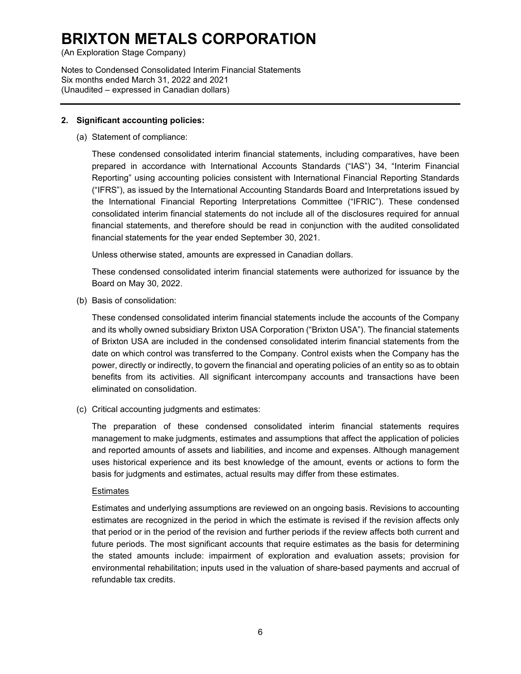(An Exploration Stage Company)

Notes to Condensed Consolidated Interim Financial Statements Six months ended March 31, 2022 and 2021 (Unaudited – expressed in Canadian dollars)

### **2. Significant accounting policies:**

(a) Statement of compliance:

These condensed consolidated interim financial statements, including comparatives, have been prepared in accordance with International Accounts Standards ("IAS") 34, "Interim Financial Reporting" using accounting policies consistent with International Financial Reporting Standards ("IFRS"), as issued by the International Accounting Standards Board and Interpretations issued by the International Financial Reporting Interpretations Committee ("IFRIC"). These condensed consolidated interim financial statements do not include all of the disclosures required for annual financial statements, and therefore should be read in conjunction with the audited consolidated financial statements for the year ended September 30, 2021.

Unless otherwise stated, amounts are expressed in Canadian dollars.

These condensed consolidated interim financial statements were authorized for issuance by the Board on May 30, 2022.

(b) Basis of consolidation:

These condensed consolidated interim financial statements include the accounts of the Company and its wholly owned subsidiary Brixton USA Corporation ("Brixton USA"). The financial statements of Brixton USA are included in the condensed consolidated interim financial statements from the date on which control was transferred to the Company. Control exists when the Company has the power, directly or indirectly, to govern the financial and operating policies of an entity so as to obtain benefits from its activities. All significant intercompany accounts and transactions have been eliminated on consolidation.

(c) Critical accounting judgments and estimates:

The preparation of these condensed consolidated interim financial statements requires management to make judgments, estimates and assumptions that affect the application of policies and reported amounts of assets and liabilities, and income and expenses. Although management uses historical experience and its best knowledge of the amount, events or actions to form the basis for judgments and estimates, actual results may differ from these estimates.

### **Estimates**

Estimates and underlying assumptions are reviewed on an ongoing basis. Revisions to accounting estimates are recognized in the period in which the estimate is revised if the revision affects only that period or in the period of the revision and further periods if the review affects both current and future periods. The most significant accounts that require estimates as the basis for determining the stated amounts include: impairment of exploration and evaluation assets; provision for environmental rehabilitation; inputs used in the valuation of share-based payments and accrual of refundable tax credits.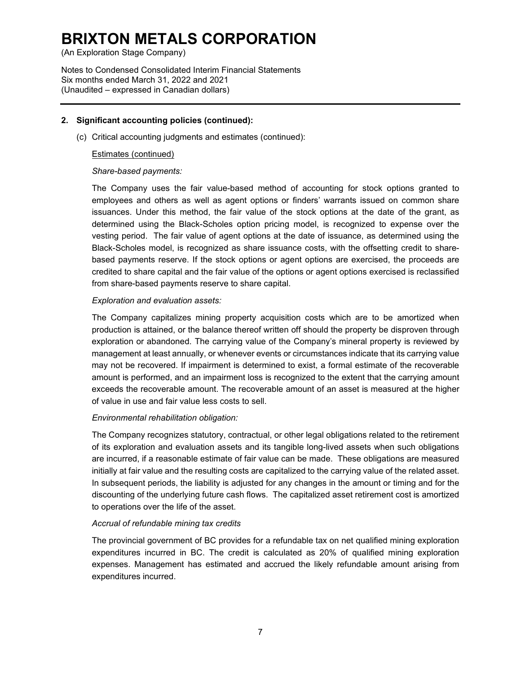(An Exploration Stage Company)

Notes to Condensed Consolidated Interim Financial Statements Six months ended March 31, 2022 and 2021 (Unaudited – expressed in Canadian dollars)

### **2. Significant accounting policies (continued):**

(c) Critical accounting judgments and estimates (continued):

#### Estimates (continued)

### *Share-based payments:*

The Company uses the fair value-based method of accounting for stock options granted to employees and others as well as agent options or finders' warrants issued on common share issuances. Under this method, the fair value of the stock options at the date of the grant, as determined using the Black-Scholes option pricing model, is recognized to expense over the vesting period. The fair value of agent options at the date of issuance, as determined using the Black-Scholes model, is recognized as share issuance costs, with the offsetting credit to sharebased payments reserve. If the stock options or agent options are exercised, the proceeds are credited to share capital and the fair value of the options or agent options exercised is reclassified from share-based payments reserve to share capital.

#### *Exploration and evaluation assets:*

The Company capitalizes mining property acquisition costs which are to be amortized when production is attained, or the balance thereof written off should the property be disproven through exploration or abandoned. The carrying value of the Company's mineral property is reviewed by management at least annually, or whenever events or circumstances indicate that its carrying value may not be recovered. If impairment is determined to exist, a formal estimate of the recoverable amount is performed, and an impairment loss is recognized to the extent that the carrying amount exceeds the recoverable amount. The recoverable amount of an asset is measured at the higher of value in use and fair value less costs to sell.

#### *Environmental rehabilitation obligation:*

The Company recognizes statutory, contractual, or other legal obligations related to the retirement of its exploration and evaluation assets and its tangible long-lived assets when such obligations are incurred, if a reasonable estimate of fair value can be made. These obligations are measured initially at fair value and the resulting costs are capitalized to the carrying value of the related asset. In subsequent periods, the liability is adjusted for any changes in the amount or timing and for the discounting of the underlying future cash flows. The capitalized asset retirement cost is amortized to operations over the life of the asset.

#### *Accrual of refundable mining tax credits*

The provincial government of BC provides for a refundable tax on net qualified mining exploration expenditures incurred in BC. The credit is calculated as 20% of qualified mining exploration expenses. Management has estimated and accrued the likely refundable amount arising from expenditures incurred.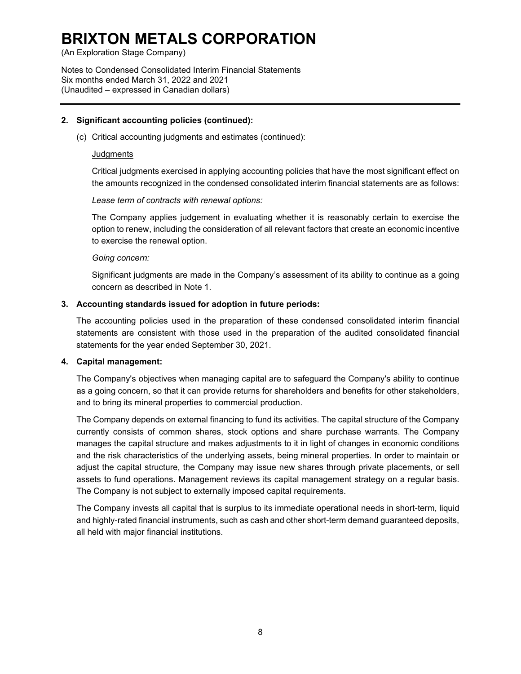(An Exploration Stage Company)

Notes to Condensed Consolidated Interim Financial Statements Six months ended March 31, 2022 and 2021 (Unaudited – expressed in Canadian dollars)

#### **2. Significant accounting policies (continued):**

(c) Critical accounting judgments and estimates (continued):

#### **Judgments**

Critical judgments exercised in applying accounting policies that have the most significant effect on the amounts recognized in the condensed consolidated interim financial statements are as follows:

*Lease term of contracts with renewal options:*

The Company applies judgement in evaluating whether it is reasonably certain to exercise the option to renew, including the consideration of all relevant factors that create an economic incentive to exercise the renewal option.

#### *Going concern:*

Significant judgments are made in the Company's assessment of its ability to continue as a going concern as described in Note 1.

#### **3. Accounting standards issued for adoption in future periods:**

The accounting policies used in the preparation of these condensed consolidated interim financial statements are consistent with those used in the preparation of the audited consolidated financial statements for the year ended September 30, 2021.

#### **4. Capital management:**

The Company's objectives when managing capital are to safeguard the Company's ability to continue as a going concern, so that it can provide returns for shareholders and benefits for other stakeholders, and to bring its mineral properties to commercial production.

The Company depends on external financing to fund its activities. The capital structure of the Company currently consists of common shares, stock options and share purchase warrants. The Company manages the capital structure and makes adjustments to it in light of changes in economic conditions and the risk characteristics of the underlying assets, being mineral properties. In order to maintain or adjust the capital structure, the Company may issue new shares through private placements, or sell assets to fund operations. Management reviews its capital management strategy on a regular basis. The Company is not subject to externally imposed capital requirements.

The Company invests all capital that is surplus to its immediate operational needs in short-term, liquid and highly-rated financial instruments, such as cash and other short-term demand guaranteed deposits, all held with major financial institutions.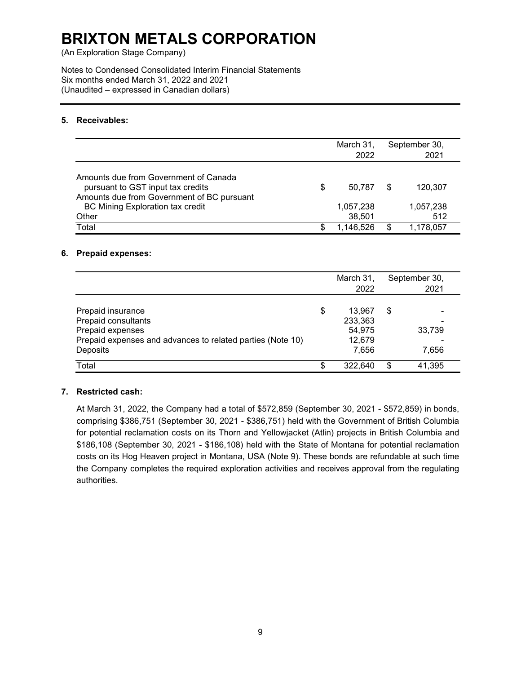(An Exploration Stage Company)

Notes to Condensed Consolidated Interim Financial Statements Six months ended March 31, 2022 and 2021 (Unaudited – expressed in Canadian dollars)

### **5. Receivables:**

|                                                                                                                          |    | March 31,<br>2022   |   | September 30,<br>2021 |
|--------------------------------------------------------------------------------------------------------------------------|----|---------------------|---|-----------------------|
| Amounts due from Government of Canada<br>pursuant to GST input tax credits<br>Amounts due from Government of BC pursuant | \$ | 50.787              | S | 120.307               |
| <b>BC Mining Exploration tax credit</b><br>Other                                                                         |    | 1,057,238<br>38,501 |   | 1,057,238<br>512      |
| Total                                                                                                                    | S  | 1,146,526           |   | 1,178,057             |

#### **6. Prepaid expenses:**

|                                                                                                                                        | March 31,                                            |     | September 30,   |
|----------------------------------------------------------------------------------------------------------------------------------------|------------------------------------------------------|-----|-----------------|
|                                                                                                                                        | 2022                                                 |     | 2021            |
| Prepaid insurance<br>Prepaid consultants<br>Prepaid expenses<br>Prepaid expenses and advances to related parties (Note 10)<br>Deposits | \$<br>13.967<br>233,363<br>54,975<br>12,679<br>7,656 | \$  | 33,739<br>7.656 |
| Total                                                                                                                                  | \$<br>322,640                                        | \$. | 41,395          |

### **7. Restricted cash:**

At March 31, 2022, the Company had a total of \$572,859 (September 30, 2021 - \$572,859) in bonds, comprising \$386,751 (September 30, 2021 - \$386,751) held with the Government of British Columbia for potential reclamation costs on its Thorn and Yellowjacket (Atlin) projects in British Columbia and \$186,108 (September 30, 2021 - \$186,108) held with the State of Montana for potential reclamation costs on its Hog Heaven project in Montana, USA (Note 9). These bonds are refundable at such time the Company completes the required exploration activities and receives approval from the regulating authorities.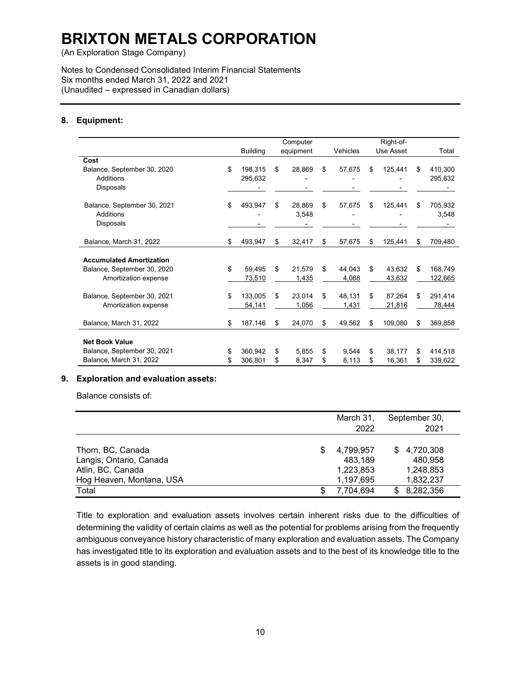(An Exploration Stage Company)

Notes to Condensed Consolidated Interim Financial Statements Six months ended March 31, 2022 and 2021 (Unaudited – expressed in Canadian dollars)

### **8. Equipment:**

|                                 |                 |     | Computer  |              | Right-of-     |               |
|---------------------------------|-----------------|-----|-----------|--------------|---------------|---------------|
|                                 | <b>Building</b> |     | equipment | Vehicles     | Use Asset     | Total         |
| Cost                            |                 |     |           |              |               |               |
| Balance, September 30, 2020     | \$<br>198,315   | \$. | 28,869    | \$<br>57,675 | \$<br>125,441 | \$<br>410,300 |
| Additions                       | 295,632         |     |           |              |               | 295,632       |
| <b>Disposals</b>                |                 |     |           |              |               |               |
| Balance, September 30, 2021     | \$<br>493,947   | \$  | 28.869    | \$<br>57,675 | \$<br>125,441 | \$<br>705,932 |
| Additions                       |                 |     | 3,548     |              |               | 3,548         |
| <b>Disposals</b>                |                 |     |           |              |               |               |
| Balance, March 31, 2022         | \$<br>493,947   | \$  | 32,417    | \$<br>57,675 | \$<br>125,441 | \$<br>709,480 |
|                                 |                 |     |           |              |               |               |
| <b>Accumulated Amortization</b> |                 |     |           |              |               |               |
| Balance, September 30, 2020     | \$<br>59.495    | \$  | 21.579    | \$<br>44.043 | \$<br>43.632  | \$<br>168,749 |
| Amortization expense            | 73,510          |     | 1,435     | 4,088        | 43,632        | 122,665       |
| Balance, September 30, 2021     | \$<br>133,005   | \$  | 23.014    | \$<br>48,131 | \$<br>87.264  | \$<br>291,414 |
| Amortization expense            | 54,141          |     | 1,056     | 1,431        | 21,816        | 78,444        |
| Balance, March 31, 2022         | \$<br>187,146   | \$  | 24,070    | \$<br>49,562 | \$<br>109,080 | \$<br>369,858 |
|                                 |                 |     |           |              |               |               |
| <b>Net Book Value</b>           |                 |     |           |              |               |               |
| Balance, September 30, 2021     | \$<br>360.942   | \$  | 5.855     | \$<br>9.544  | \$<br>38.177  | \$<br>414,518 |
| Balance, March 31, 2022         | \$<br>306,801   | \$  | 8,347     | \$<br>8,113  | \$<br>16,361  | \$<br>339,622 |

### **9. Exploration and evaluation assets:**

Balance consists of:

|                          |   | March 31, | September 30,    |
|--------------------------|---|-----------|------------------|
|                          |   | 2022      | 2021             |
|                          |   |           |                  |
| Thorn, BC, Canada        | S | 4,799,957 | 4,720,308<br>\$. |
| Langis, Ontario, Canada  |   | 483,189   | 480,958          |
| Atlin, BC, Canada        |   | 1,223,853 | 1,248,853        |
| Hog Heaven, Montana, USA |   | 1,197,695 | 1,832,237        |
| Total                    | S | 7,704,694 | 8,282,356<br>\$  |

Title to exploration and evaluation assets involves certain inherent risks due to the difficulties of determining the validity of certain claims as well as the potential for problems arising from the frequently ambiguous conveyance history characteristic of many exploration and evaluation assets. The Company has investigated title to its exploration and evaluation assets and to the best of its knowledge title to the assets is in good standing.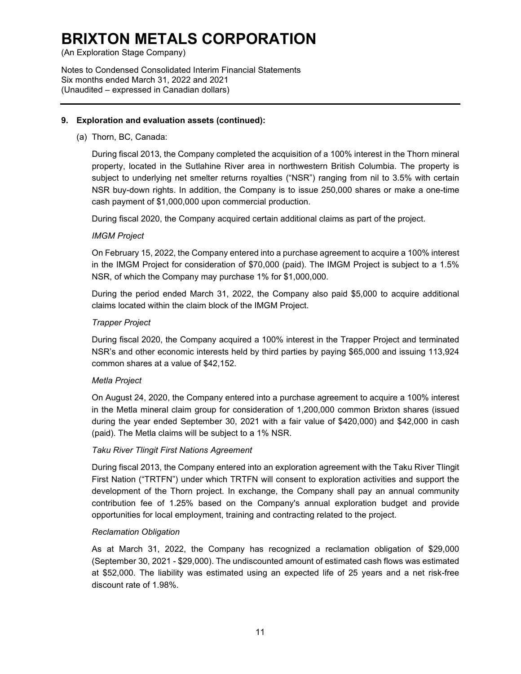(An Exploration Stage Company)

Notes to Condensed Consolidated Interim Financial Statements Six months ended March 31, 2022 and 2021 (Unaudited – expressed in Canadian dollars)

### **9. Exploration and evaluation assets (continued):**

#### (a) Thorn, BC, Canada:

During fiscal 2013, the Company completed the acquisition of a 100% interest in the Thorn mineral property, located in the Sutlahine River area in northwestern British Columbia. The property is subject to underlying net smelter returns royalties ("NSR") ranging from nil to 3.5% with certain NSR buy-down rights. In addition, the Company is to issue 250,000 shares or make a one-time cash payment of \$1,000,000 upon commercial production.

During fiscal 2020, the Company acquired certain additional claims as part of the project.

### *IMGM Project*

On February 15, 2022, the Company entered into a purchase agreement to acquire a 100% interest in the IMGM Project for consideration of \$70,000 (paid). The IMGM Project is subject to a 1.5% NSR, of which the Company may purchase 1% for \$1,000,000.

During the period ended March 31, 2022, the Company also paid \$5,000 to acquire additional claims located within the claim block of the IMGM Project.

#### *Trapper Project*

During fiscal 2020, the Company acquired a 100% interest in the Trapper Project and terminated NSR's and other economic interests held by third parties by paying \$65,000 and issuing 113,924 common shares at a value of \$42,152.

#### *Metla Project*

On August 24, 2020, the Company entered into a purchase agreement to acquire a 100% interest in the Metla mineral claim group for consideration of 1,200,000 common Brixton shares (issued during the year ended September 30, 2021 with a fair value of \$420,000) and \$42,000 in cash (paid). The Metla claims will be subject to a 1% NSR.

#### *Taku River Tlingit First Nations Agreement*

During fiscal 2013, the Company entered into an exploration agreement with the Taku River Tlingit First Nation ("TRTFN") under which TRTFN will consent to exploration activities and support the development of the Thorn project. In exchange, the Company shall pay an annual community contribution fee of 1.25% based on the Company's annual exploration budget and provide opportunities for local employment, training and contracting related to the project.

#### *Reclamation Obligation*

As at March 31, 2022, the Company has recognized a reclamation obligation of \$29,000 (September 30, 2021 - \$29,000). The undiscounted amount of estimated cash flows was estimated at \$52,000. The liability was estimated using an expected life of 25 years and a net risk-free discount rate of 1.98%.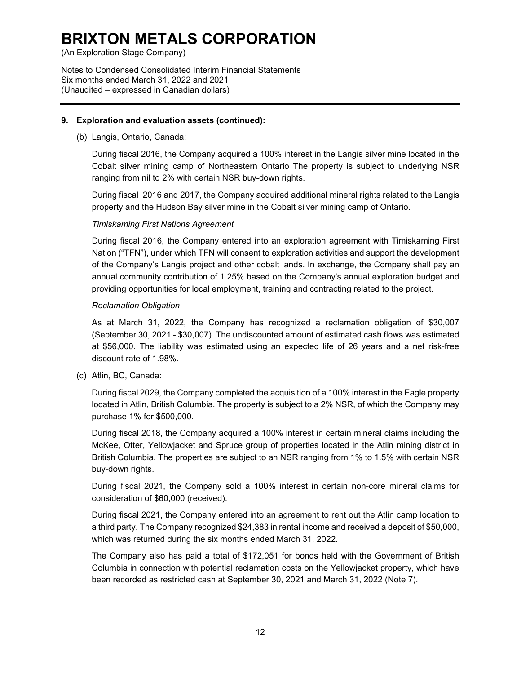(An Exploration Stage Company)

Notes to Condensed Consolidated Interim Financial Statements Six months ended March 31, 2022 and 2021 (Unaudited – expressed in Canadian dollars)

### **9. Exploration and evaluation assets (continued):**

(b) Langis, Ontario, Canada:

During fiscal 2016, the Company acquired a 100% interest in the Langis silver mine located in the Cobalt silver mining camp of Northeastern Ontario The property is subject to underlying NSR ranging from nil to 2% with certain NSR buy-down rights.

During fiscal 2016 and 2017, the Company acquired additional mineral rights related to the Langis property and the Hudson Bay silver mine in the Cobalt silver mining camp of Ontario.

### *Timiskaming First Nations Agreement*

During fiscal 2016, the Company entered into an exploration agreement with Timiskaming First Nation ("TFN"), under which TFN will consent to exploration activities and support the development of the Company's Langis project and other cobalt lands. In exchange, the Company shall pay an annual community contribution of 1.25% based on the Company's annual exploration budget and providing opportunities for local employment, training and contracting related to the project.

#### *Reclamation Obligation*

As at March 31, 2022, the Company has recognized a reclamation obligation of \$30,007 (September 30, 2021 - \$30,007). The undiscounted amount of estimated cash flows was estimated at \$56,000. The liability was estimated using an expected life of 26 years and a net risk-free discount rate of 1.98%.

(c) Atlin, BC, Canada:

During fiscal 2029, the Company completed the acquisition of a 100% interest in the Eagle property located in Atlin, British Columbia. The property is subject to a 2% NSR, of which the Company may purchase 1% for \$500,000.

During fiscal 2018, the Company acquired a 100% interest in certain mineral claims including the McKee, Otter, Yellowjacket and Spruce group of properties located in the Atlin mining district in British Columbia. The properties are subject to an NSR ranging from 1% to 1.5% with certain NSR buy-down rights.

During fiscal 2021, the Company sold a 100% interest in certain non-core mineral claims for consideration of \$60,000 (received).

During fiscal 2021, the Company entered into an agreement to rent out the Atlin camp location to a third party. The Company recognized \$24,383 in rental income and received a deposit of \$50,000, which was returned during the six months ended March 31, 2022.

The Company also has paid a total of \$172,051 for bonds held with the Government of British Columbia in connection with potential reclamation costs on the Yellowjacket property, which have been recorded as restricted cash at September 30, 2021 and March 31, 2022 (Note 7).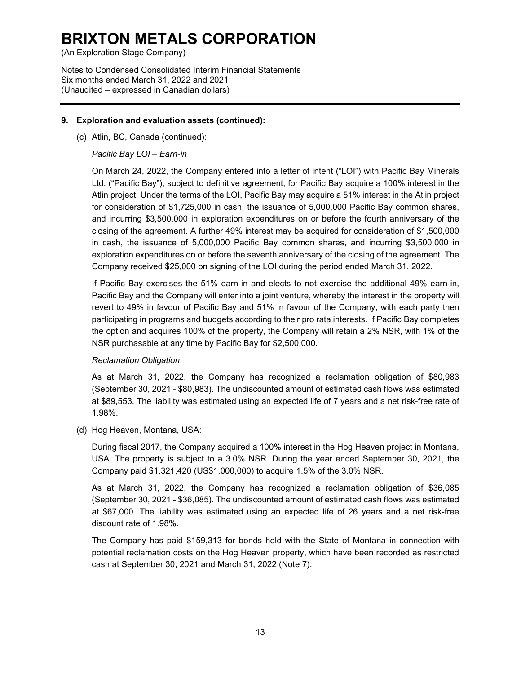(An Exploration Stage Company)

Notes to Condensed Consolidated Interim Financial Statements Six months ended March 31, 2022 and 2021 (Unaudited – expressed in Canadian dollars)

### **9. Exploration and evaluation assets (continued):**

(c) Atlin, BC, Canada (continued):

### *Pacific Bay LOI – Earn-in*

On March 24, 2022, the Company entered into a letter of intent ("LOI") with Pacific Bay Minerals Ltd. ("Pacific Bay"), subject to definitive agreement, for Pacific Bay acquire a 100% interest in the Atlin project. Under the terms of the LOI, Pacific Bay may acquire a 51% interest in the Atlin project for consideration of \$1,725,000 in cash, the issuance of 5,000,000 Pacific Bay common shares, and incurring \$3,500,000 in exploration expenditures on or before the fourth anniversary of the closing of the agreement. A further 49% interest may be acquired for consideration of \$1,500,000 in cash, the issuance of 5,000,000 Pacific Bay common shares, and incurring \$3,500,000 in exploration expenditures on or before the seventh anniversary of the closing of the agreement. The Company received \$25,000 on signing of the LOI during the period ended March 31, 2022.

If Pacific Bay exercises the 51% earn-in and elects to not exercise the additional 49% earn-in, Pacific Bay and the Company will enter into a joint venture, whereby the interest in the property will revert to 49% in favour of Pacific Bay and 51% in favour of the Company, with each party then participating in programs and budgets according to their pro rata interests. If Pacific Bay completes the option and acquires 100% of the property, the Company will retain a 2% NSR, with 1% of the NSR purchasable at any time by Pacific Bay for \$2,500,000.

### *Reclamation Obligation*

As at March 31, 2022, the Company has recognized a reclamation obligation of \$80,983 (September 30, 2021 - \$80,983). The undiscounted amount of estimated cash flows was estimated at \$89,553. The liability was estimated using an expected life of 7 years and a net risk-free rate of 1.98%.

(d) Hog Heaven, Montana, USA:

During fiscal 2017, the Company acquired a 100% interest in the Hog Heaven project in Montana, USA. The property is subject to a 3.0% NSR. During the year ended September 30, 2021, the Company paid \$1,321,420 (US\$1,000,000) to acquire 1.5% of the 3.0% NSR.

As at March 31, 2022, the Company has recognized a reclamation obligation of \$36,085 (September 30, 2021 - \$36,085). The undiscounted amount of estimated cash flows was estimated at \$67,000. The liability was estimated using an expected life of 26 years and a net risk-free discount rate of 1.98%.

The Company has paid \$159,313 for bonds held with the State of Montana in connection with potential reclamation costs on the Hog Heaven property, which have been recorded as restricted cash at September 30, 2021 and March 31, 2022 (Note 7).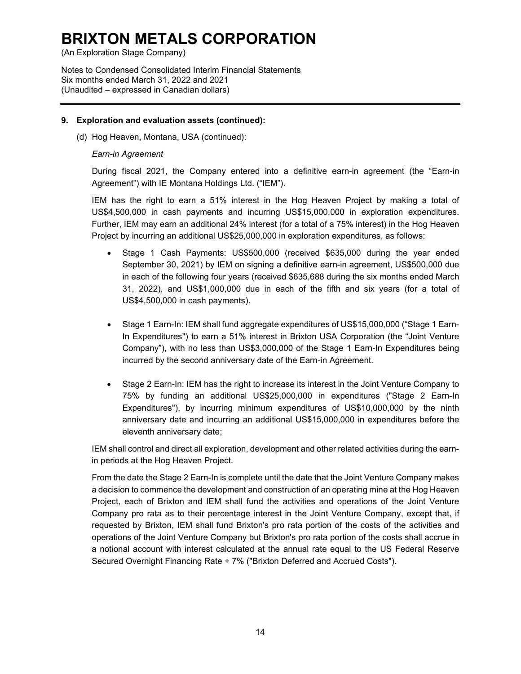(An Exploration Stage Company)

Notes to Condensed Consolidated Interim Financial Statements Six months ended March 31, 2022 and 2021 (Unaudited – expressed in Canadian dollars)

#### **9. Exploration and evaluation assets (continued):**

(d) Hog Heaven, Montana, USA (continued):

#### *Earn-in Agreement*

During fiscal 2021, the Company entered into a definitive earn-in agreement (the "Earn-in Agreement") with IE Montana Holdings Ltd. ("IEM").

IEM has the right to earn a 51% interest in the Hog Heaven Project by making a total of US\$4,500,000 in cash payments and incurring US\$15,000,000 in exploration expenditures. Further, IEM may earn an additional 24% interest (for a total of a 75% interest) in the Hog Heaven Project by incurring an additional US\$25,000,000 in exploration expenditures, as follows:

- Stage 1 Cash Payments: US\$500,000 (received \$635,000 during the year ended September 30, 2021) by IEM on signing a definitive earn-in agreement, US\$500,000 due in each of the following four years (received \$635,688 during the six months ended March 31, 2022), and US\$1,000,000 due in each of the fifth and six years (for a total of US\$4,500,000 in cash payments).
- Stage 1 Earn-In: IEM shall fund aggregate expenditures of US\$15,000,000 ("Stage 1 Earn-In Expenditures") to earn a 51% interest in Brixton USA Corporation (the "Joint Venture Company"), with no less than US\$3,000,000 of the Stage 1 Earn-In Expenditures being incurred by the second anniversary date of the Earn-in Agreement.
- Stage 2 Earn-In: IEM has the right to increase its interest in the Joint Venture Company to 75% by funding an additional US\$25,000,000 in expenditures ("Stage 2 Earn-In Expenditures"), by incurring minimum expenditures of US\$10,000,000 by the ninth anniversary date and incurring an additional US\$15,000,000 in expenditures before the eleventh anniversary date;

IEM shall control and direct all exploration, development and other related activities during the earnin periods at the Hog Heaven Project.

From the date the Stage 2 Earn-In is complete until the date that the Joint Venture Company makes a decision to commence the development and construction of an operating mine at the Hog Heaven Project, each of Brixton and IEM shall fund the activities and operations of the Joint Venture Company pro rata as to their percentage interest in the Joint Venture Company, except that, if requested by Brixton, IEM shall fund Brixton's pro rata portion of the costs of the activities and operations of the Joint Venture Company but Brixton's pro rata portion of the costs shall accrue in a notional account with interest calculated at the annual rate equal to the US Federal Reserve Secured Overnight Financing Rate + 7% ("Brixton Deferred and Accrued Costs").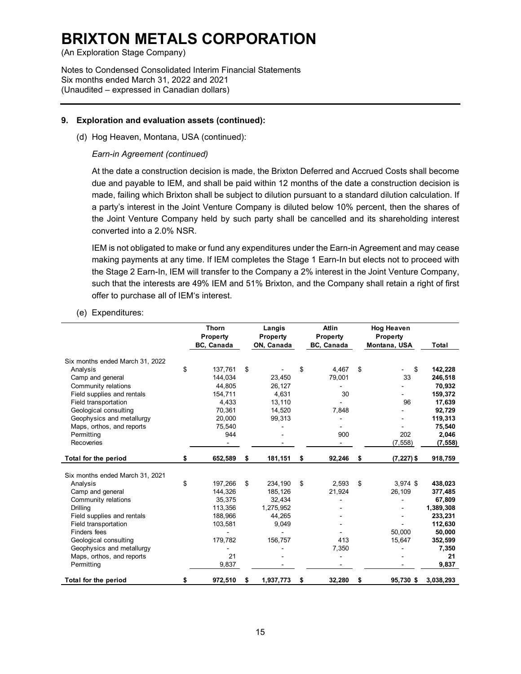(An Exploration Stage Company)

Notes to Condensed Consolidated Interim Financial Statements Six months ended March 31, 2022 and 2021 (Unaudited – expressed in Canadian dollars)

### **9. Exploration and evaluation assets (continued):**

(d) Hog Heaven, Montana, USA (continued):

### *Earn-in Agreement (continued)*

At the date a construction decision is made, the Brixton Deferred and Accrued Costs shall become due and payable to IEM, and shall be paid within 12 months of the date a construction decision is made, failing which Brixton shall be subject to dilution pursuant to a standard dilution calculation. If a party's interest in the Joint Venture Company is diluted below 10% percent, then the shares of the Joint Venture Company held by such party shall be cancelled and its shareholding interest converted into a 2.0% NSR.

IEM is not obligated to make or fund any expenditures under the Earn-in Agreement and may cease making payments at any time. If IEM completes the Stage 1 Earn-In but elects not to proceed with the Stage 2 Earn-In, IEM will transfer to the Company a 2% interest in the Joint Venture Company, such that the interests are 49% IEM and 51% Brixton, and the Company shall retain a right of first offer to purchase all of IEM's interest.

#### (e) Expenditures:

|                                 | <b>Thorn</b><br><b>Property</b><br>BC, Canada |    | Langis<br>Property<br>ON, Canada | <b>Atlin</b><br>Property<br>BC, Canada | <b>Hog Heaven</b><br>Property<br>Montana, USA | Total     |
|---------------------------------|-----------------------------------------------|----|----------------------------------|----------------------------------------|-----------------------------------------------|-----------|
| Six months ended March 31, 2022 |                                               |    |                                  |                                        |                                               |           |
| Analysis                        | \$<br>137.761                                 | \$ |                                  | \$<br>4.467                            | \$<br>\$                                      | 142,228   |
| Camp and general                | 144.034                                       |    | 23,450                           | 79,001                                 | 33                                            | 246,518   |
| Community relations             | 44.805                                        |    | 26,127                           |                                        |                                               | 70,932    |
| Field supplies and rentals      | 154,711                                       |    | 4,631                            | 30                                     |                                               | 159,372   |
| Field transportation            | 4,433                                         |    | 13,110                           |                                        | 96                                            | 17,639    |
| Geological consulting           | 70,361                                        |    | 14,520                           | 7,848                                  |                                               | 92,729    |
| Geophysics and metallurgy       | 20,000                                        |    | 99,313                           |                                        |                                               | 119,313   |
| Maps, orthos, and reports       | 75,540                                        |    |                                  |                                        |                                               | 75,540    |
| Permitting                      | 944                                           |    |                                  | 900                                    | 202                                           | 2,046     |
| Recoveries                      |                                               |    |                                  |                                        | (7, 558)                                      | (7, 558)  |
| Total for the period            | \$<br>652,589                                 | \$ | 181,151                          | \$<br>92,246                           | \$<br>$(7, 227)$ \$                           | 918,759   |
| Six months ended March 31, 2021 |                                               |    |                                  |                                        |                                               |           |
| Analysis                        | \$<br>197,266                                 | \$ | 234,190                          | \$<br>2.593                            | \$<br>$3.974$ \$                              | 438,023   |
| Camp and general                | 144,326                                       |    | 185,126                          | 21,924                                 | 26,109                                        | 377,485   |
| Community relations             | 35,375                                        |    | 32,434                           |                                        |                                               | 67,809    |
| <b>Drilling</b>                 | 113,356                                       |    | 1,275,952                        |                                        |                                               | 1,389,308 |
| Field supplies and rentals      | 188,966                                       |    | 44,265                           |                                        |                                               | 233,231   |
| Field transportation            | 103,581                                       |    | 9,049                            |                                        |                                               | 112,630   |
| Finders fees                    |                                               |    |                                  |                                        | 50.000                                        | 50,000    |
| Geological consulting           | 179,782                                       |    | 156,757                          | 413                                    | 15,647                                        | 352,599   |
| Geophysics and metallurgy       |                                               |    |                                  | 7,350                                  |                                               | 7,350     |
| Maps, orthos, and reports       | 21                                            |    |                                  |                                        |                                               | 21        |
| Permitting                      | 9,837                                         |    |                                  |                                        |                                               | 9,837     |
|                                 |                                               |    |                                  |                                        |                                               |           |
| Total for the period            | \$<br>972,510                                 | S  | 1,937,773                        | \$<br>32,280                           | \$<br>95,730 \$                               | 3,038,293 |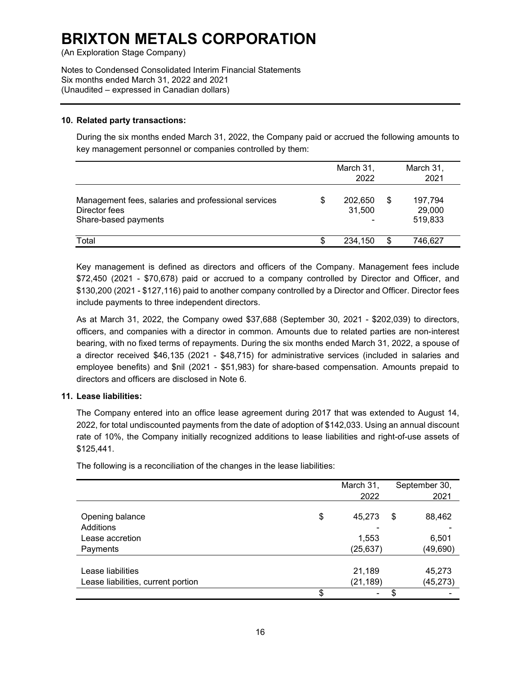(An Exploration Stage Company)

Notes to Condensed Consolidated Interim Financial Statements Six months ended March 31, 2022 and 2021 (Unaudited – expressed in Canadian dollars)

#### **10. Related party transactions:**

During the six months ended March 31, 2022, the Company paid or accrued the following amounts to key management personnel or companies controlled by them:

|                                                                                              | March 31,<br>2022       |     | March 31,<br>2021            |
|----------------------------------------------------------------------------------------------|-------------------------|-----|------------------------------|
| Management fees, salaries and professional services<br>Director fees<br>Share-based payments | \$<br>202,650<br>31,500 | \$. | 197,794<br>29,000<br>519,833 |
| Total                                                                                        | 234.150                 | \$. | 746.627                      |

Key management is defined as directors and officers of the Company. Management fees include \$72,450 (2021 - \$70,678) paid or accrued to a company controlled by Director and Officer, and \$130,200 (2021 - \$127,116) paid to another company controlled by a Director and Officer. Director fees include payments to three independent directors.

As at March 31, 2022, the Company owed \$37,688 (September 30, 2021 - \$202,039) to directors, officers, and companies with a director in common. Amounts due to related parties are non-interest bearing, with no fixed terms of repayments. During the six months ended March 31, 2022, a spouse of a director received \$46,135 (2021 - \$48,715) for administrative services (included in salaries and employee benefits) and \$nil (2021 - \$51,983) for share-based compensation. Amounts prepaid to directors and officers are disclosed in Note 6.

### **11. Lease liabilities:**

The Company entered into an office lease agreement during 2017 that was extended to August 14, 2022, for total undiscounted payments from the date of adoption of \$142,033. Using an annual discount rate of 10%, the Company initially recognized additions to lease liabilities and right-of-use assets of \$125,441.

|                                    | March 31,    | September 30, |
|------------------------------------|--------------|---------------|
|                                    | 2022         | 2021          |
|                                    |              |               |
| Opening balance                    | \$<br>45,273 | \$<br>88,462  |
| Additions                          |              |               |
| Lease accretion                    | 1,553        | 6,501         |
| Payments                           | (25, 637)    | (49,690)      |
|                                    |              |               |
| Lease liabilities                  | 21,189       | 45,273        |
| Lease liabilities, current portion | (21, 189)    | (45, 273)     |
|                                    | \$<br>۰      | \$            |

The following is a reconciliation of the changes in the lease liabilities: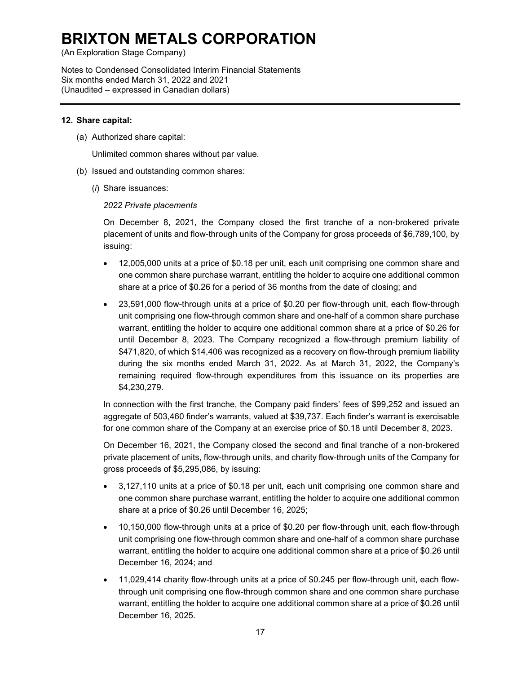(An Exploration Stage Company)

Notes to Condensed Consolidated Interim Financial Statements Six months ended March 31, 2022 and 2021 (Unaudited – expressed in Canadian dollars)

### **12. Share capital:**

(a) Authorized share capital:

Unlimited common shares without par value.

- (b) Issued and outstanding common shares:
	- (*i*) Share issuances:

#### *2022 Private placements*

On December 8, 2021, the Company closed the first tranche of a non-brokered private placement of units and flow-through units of the Company for gross proceeds of \$6,789,100, by issuing:

- 12,005,000 units at a price of \$0.18 per unit, each unit comprising one common share and one common share purchase warrant, entitling the holder to acquire one additional common share at a price of \$0.26 for a period of 36 months from the date of closing; and
- 23,591,000 flow-through units at a price of \$0.20 per flow-through unit, each flow-through unit comprising one flow-through common share and one-half of a common share purchase warrant, entitling the holder to acquire one additional common share at a price of \$0.26 for until December 8, 2023. The Company recognized a flow-through premium liability of \$471,820, of which \$14,406 was recognized as a recovery on flow-through premium liability during the six months ended March 31, 2022. As at March 31, 2022, the Company's remaining required flow-through expenditures from this issuance on its properties are \$4,230,279.

In connection with the first tranche, the Company paid finders' fees of \$99,252 and issued an aggregate of 503,460 finder's warrants, valued at \$39,737. Each finder's warrant is exercisable for one common share of the Company at an exercise price of \$0.18 until December 8, 2023.

On December 16, 2021, the Company closed the second and final tranche of a non-brokered private placement of units, flow-through units, and charity flow-through units of the Company for gross proceeds of \$5,295,086, by issuing:

- 3,127,110 units at a price of \$0.18 per unit, each unit comprising one common share and one common share purchase warrant, entitling the holder to acquire one additional common share at a price of \$0.26 until December 16, 2025;
- 10,150,000 flow-through units at a price of \$0.20 per flow-through unit, each flow-through unit comprising one flow-through common share and one-half of a common share purchase warrant, entitling the holder to acquire one additional common share at a price of \$0.26 until December 16, 2024; and
- 11,029,414 charity flow-through units at a price of \$0.245 per flow-through unit, each flowthrough unit comprising one flow-through common share and one common share purchase warrant, entitling the holder to acquire one additional common share at a price of \$0.26 until December 16, 2025.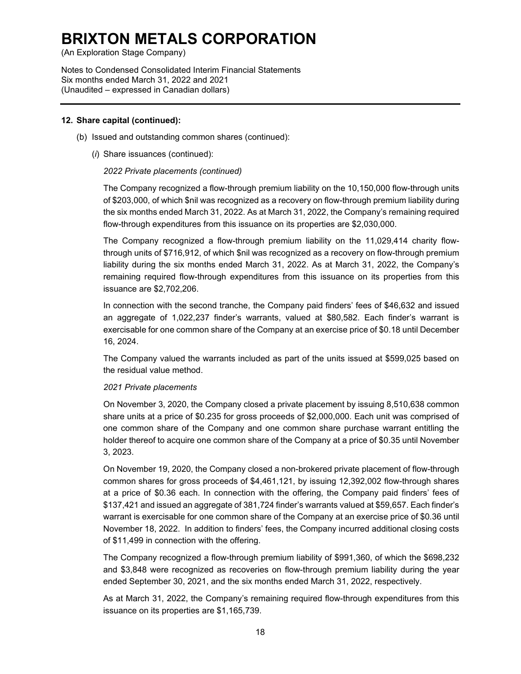(An Exploration Stage Company)

Notes to Condensed Consolidated Interim Financial Statements Six months ended March 31, 2022 and 2021 (Unaudited – expressed in Canadian dollars)

#### **12. Share capital (continued):**

- (b) Issued and outstanding common shares (continued):
	- (*i*) Share issuances (continued):

### *2022 Private placements (continued)*

The Company recognized a flow-through premium liability on the 10,150,000 flow-through units of \$203,000, of which \$nil was recognized as a recovery on flow-through premium liability during the six months ended March 31, 2022. As at March 31, 2022, the Company's remaining required flow-through expenditures from this issuance on its properties are \$2,030,000.

The Company recognized a flow-through premium liability on the 11,029,414 charity flowthrough units of \$716,912, of which \$nil was recognized as a recovery on flow-through premium liability during the six months ended March 31, 2022. As at March 31, 2022, the Company's remaining required flow-through expenditures from this issuance on its properties from this issuance are \$2,702,206.

In connection with the second tranche, the Company paid finders' fees of \$46,632 and issued an aggregate of 1,022,237 finder's warrants, valued at \$80,582. Each finder's warrant is exercisable for one common share of the Company at an exercise price of \$0.18 until December 16, 2024.

The Company valued the warrants included as part of the units issued at \$599,025 based on the residual value method.

#### *2021 Private placements*

On November 3, 2020, the Company closed a private placement by issuing 8,510,638 common share units at a price of \$0.235 for gross proceeds of \$2,000,000. Each unit was comprised of one common share of the Company and one common share purchase warrant entitling the holder thereof to acquire one common share of the Company at a price of \$0.35 until November 3, 2023.

On November 19, 2020, the Company closed a non-brokered private placement of flow-through common shares for gross proceeds of \$4,461,121, by issuing 12,392,002 flow-through shares at a price of \$0.36 each. In connection with the offering, the Company paid finders' fees of \$137,421 and issued an aggregate of 381,724 finder's warrants valued at \$59,657. Each finder's warrant is exercisable for one common share of the Company at an exercise price of \$0.36 until November 18, 2022. In addition to finders' fees, the Company incurred additional closing costs of \$11,499 in connection with the offering.

The Company recognized a flow-through premium liability of \$991,360, of which the \$698,232 and \$3,848 were recognized as recoveries on flow-through premium liability during the year ended September 30, 2021, and the six months ended March 31, 2022, respectively.

As at March 31, 2022, the Company's remaining required flow-through expenditures from this issuance on its properties are \$1,165,739.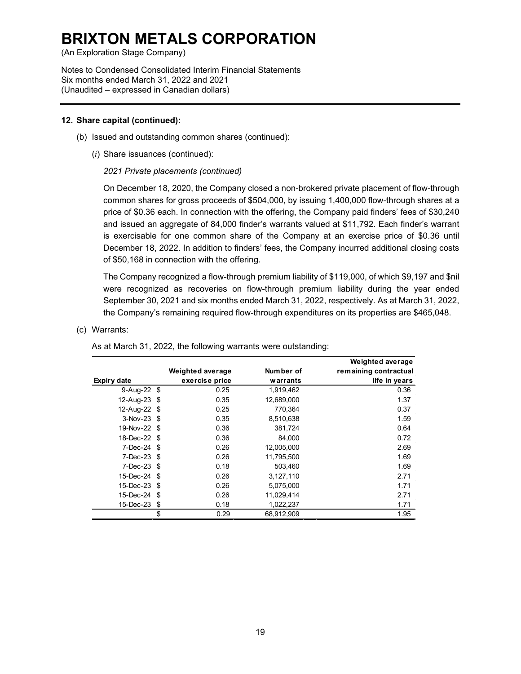(An Exploration Stage Company)

Notes to Condensed Consolidated Interim Financial Statements Six months ended March 31, 2022 and 2021 (Unaudited – expressed in Canadian dollars)

#### **12. Share capital (continued):**

- (b) Issued and outstanding common shares (continued):
	- (*i*) Share issuances (continued):

#### *2021 Private placements (continued)*

On December 18, 2020, the Company closed a non-brokered private placement of flow-through common shares for gross proceeds of \$504,000, by issuing 1,400,000 flow-through shares at a price of \$0.36 each. In connection with the offering, the Company paid finders' fees of \$30,240 and issued an aggregate of 84,000 finder's warrants valued at \$11,792. Each finder's warrant is exercisable for one common share of the Company at an exercise price of \$0.36 until December 18, 2022. In addition to finders' fees, the Company incurred additional closing costs of \$50,168 in connection with the offering.

The Company recognized a flow-through premium liability of \$119,000, of which \$9,197 and \$nil were recognized as recoveries on flow-through premium liability during the year ended September 30, 2021 and six months ended March 31, 2022, respectively. As at March 31, 2022, the Company's remaining required flow-through expenditures on its properties are \$465,048.

#### (c) Warrants:

|                   |                  |            | <b>Weighted average</b> |
|-------------------|------------------|------------|-------------------------|
|                   | Weighted average | Number of  | remaining contractual   |
| Expiry date       | exercise price   | warrants   | life in years           |
| 9-Aug-22 \$       | 0.25             | 1,919,462  | 0.36                    |
| 12-Aug-23 \$      | 0.35             | 12,689,000 | 1.37                    |
| 12-Aug-22 \$      | 0.25             | 770.364    | 0.37                    |
| $3 - Nov - 23$ \$ | 0.35             | 8,510,638  | 1.59                    |
| 19-Nov-22 \$      | 0.36             | 381,724    | 0.64                    |
| 18-Dec-22 \$      | 0.36             | 84,000     | 0.72                    |
| $7-Dec-24$ \$     | 0.26             | 12,005,000 | 2.69                    |
| $7 - Dec - 23$ \$ | 0.26             | 11.795.500 | 1.69                    |
| $7 - Dec - 23$ \$ | 0.18             | 503.460    | 1.69                    |
| 15-Dec-24 \$      | 0.26             | 3,127,110  | 2.71                    |
| 15-Dec-23 \$      | 0.26             | 5,075,000  | 1.71                    |
| 15-Dec-24 \$      | 0.26             | 11,029,414 | 2.71                    |
| 15-Dec-23 \$      | 0.18             | 1,022,237  | 1.71                    |
|                   | \$<br>0.29       | 68,912,909 | 1.95                    |

As at March 31, 2022, the following warrants were outstanding: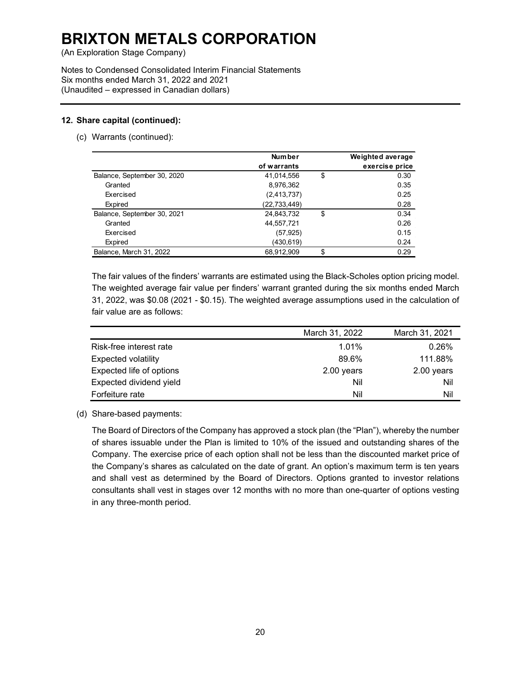(An Exploration Stage Company)

Notes to Condensed Consolidated Interim Financial Statements Six months ended March 31, 2022 and 2021 (Unaudited – expressed in Canadian dollars)

### **12. Share capital (continued):**

(c) Warrants (continued):

|                             | <b>Number</b> | Weighted average |
|-----------------------------|---------------|------------------|
|                             |               |                  |
|                             | of warrants   | exercise price   |
| Balance, September 30, 2020 | 41,014,556    | \$<br>0.30       |
| Granted                     | 8,976,362     | 0.35             |
| Exercised                   | (2,413,737)   | 0.25             |
| Expired                     | (22,733,449)  | 0.28             |
| Balance, September 30, 2021 | 24,843,732    | \$<br>0.34       |
| Granted                     | 44,557,721    | 0.26             |
| Exercised                   | (57, 925)     | 0.15             |
| Expired                     | (430,619)     | 0.24             |
| Balance, March 31, 2022     | 68.912.909    | \$<br>0.29       |

The fair values of the finders' warrants are estimated using the Black-Scholes option pricing model. The weighted average fair value per finders' warrant granted during the six months ended March 31, 2022, was \$0.08 (2021 - \$0.15). The weighted average assumptions used in the calculation of fair value are as follows:

|                            | March 31, 2022 | March 31, 2021 |
|----------------------------|----------------|----------------|
| Risk-free interest rate    | 1.01%          | 0.26%          |
| <b>Expected volatility</b> | 89.6%          | 111.88%        |
| Expected life of options   | 2.00 years     | 2.00 years     |
| Expected dividend yield    | Nil            | Nil            |
| Forfeiture rate            | Nil            | Nil            |

(d) Share-based payments:

The Board of Directors of the Company has approved a stock plan (the "Plan"), whereby the number of shares issuable under the Plan is limited to 10% of the issued and outstanding shares of the Company. The exercise price of each option shall not be less than the discounted market price of the Company's shares as calculated on the date of grant. An option's maximum term is ten years and shall vest as determined by the Board of Directors. Options granted to investor relations consultants shall vest in stages over 12 months with no more than one-quarter of options vesting in any three-month period.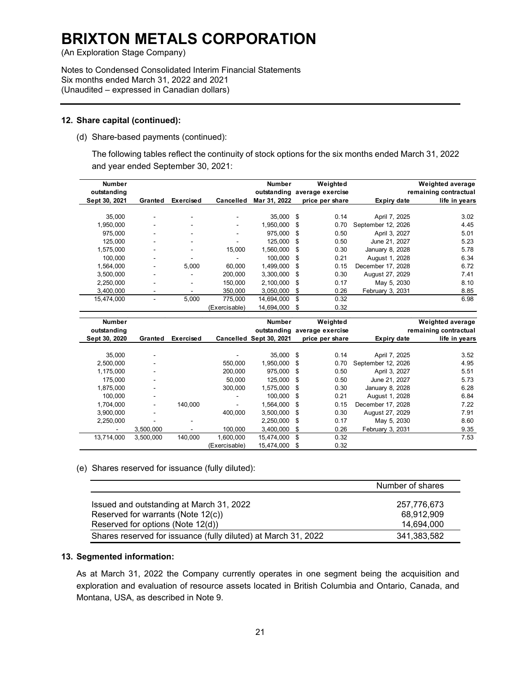(An Exploration Stage Company)

Notes to Condensed Consolidated Interim Financial Statements Six months ended March 31, 2022 and 2021 (Unaudited – expressed in Canadian dollars)

#### **12. Share capital (continued):**

(d) Share-based payments (continued):

The following tables reflect the continuity of stock options for the six months ended March 31, 2022 and year ended September 30, 2021:

| <b>Number</b><br>outstanding |                          |                          |               | Number       | Weighted<br>outstanding average exercise |                    | <b>Weighted average</b><br>remaining contractual |
|------------------------------|--------------------------|--------------------------|---------------|--------------|------------------------------------------|--------------------|--------------------------------------------------|
| Sept 30, 2021                | Granted                  | <b>Exercised</b>         | Cancelled     | Mar 31, 2022 | price per share                          | Expiry date        | life in years                                    |
|                              |                          |                          |               |              |                                          |                    |                                                  |
| 35,000                       | $\blacksquare$           | $\blacksquare$           |               | 35,000       | \$<br>0.14                               | April 7, 2025      | 3.02                                             |
| 1,950,000                    |                          | $\blacksquare$           | -             | 1,950,000    | \$<br>0.70                               | September 12, 2026 | 4.45                                             |
| 975,000                      | $\overline{\phantom{a}}$ | $\overline{\phantom{a}}$ |               | 975.000      | \$<br>0.50                               | April 3, 2027      | 5.01                                             |
| 125,000                      | $\overline{\phantom{a}}$ | $\overline{\phantom{a}}$ |               | 125,000      | \$<br>0.50                               | June 21, 2027      | 5.23                                             |
| 1,575,000                    | $\overline{\phantom{a}}$ | $\overline{\phantom{a}}$ | 15,000        | 1,560,000    | \$<br>0.30                               | January 8, 2028    | 5.78                                             |
| 100,000                      | $\blacksquare$           |                          |               | 100.000      | \$<br>0.21                               | August 1, 2028     | 6.34                                             |
| 1,564,000                    |                          | 5.000                    | 60.000        | 1.499.000    | \$<br>0.15                               | December 17, 2028  | 6.72                                             |
| 3,500,000                    | $\overline{\phantom{a}}$ | ۰                        | 200.000       | 3.300.000    | \$<br>0.30                               | August 27, 2029    | 7.41                                             |
| 2,250,000                    | ٠                        | $\overline{\phantom{a}}$ | 150,000       | 2,100,000    | \$<br>0.17                               | May 5, 2030        | 8.10                                             |
| 3,400,000                    | $\overline{\phantom{a}}$ | ۰                        | 350,000       | 3,050,000    | \$<br>0.26                               | February 3, 2031   | 8.85                                             |
| 15,474,000                   | $\blacksquare$           | 5,000                    | 775,000       | 14,694,000   | \$<br>0.32                               |                    | 6.98                                             |
|                              |                          |                          | (Exercisable) | 14.694.000   | \$<br>0.32                               |                    |                                                  |
| <b>Number</b>                |                          |                          |               | Number       | Weighted                                 |                    | Weighted average                                 |
| outstanding                  |                          |                          |               |              | outstanding average exercise             |                    | remaining contractual                            |

| NUIIIDCI      |           |                  |                | NUIIIDCI                | weighted                     |                    | <b><i>INGIUREU AVEIAUS</i></b> |
|---------------|-----------|------------------|----------------|-------------------------|------------------------------|--------------------|--------------------------------|
| outstanding   |           |                  |                |                         | outstanding average exercise |                    | remaining contractual          |
| Sept 30, 2020 | Granted   | <b>Exercised</b> |                | Cancelled Sept 30, 2021 | price per share              | Expiry date        | life in years                  |
|               |           |                  |                |                         |                              |                    |                                |
| 35.000        |           |                  |                | 35,000 \$               | 0.14                         | April 7, 2025      | 3.52                           |
| 2.500.000     |           |                  | 550,000        | 1,950,000 \$            | 0.70                         | September 12, 2026 | 4.95                           |
| 1.175.000     |           |                  | 200.000        | 975,000 \$              | 0.50                         | April 3, 2027      | 5.51                           |
| 175.000       |           |                  | 50.000         | 125,000 \$              | 0.50                         | June 21, 2027      | 5.73                           |
| 1,875,000     |           |                  | 300.000        | 1.575.000 \$            | 0.30                         | January 8, 2028    | 6.28                           |
| 100.000       |           |                  |                | 100.000 \$              | 0.21                         | August 1, 2028     | 6.84                           |
| 1,704,000     | -         | 140.000          | $\blacksquare$ | 1.564.000 \$            | 0.15                         | December 17, 2028  | 7.22                           |
| 3,900,000     |           |                  | 400.000        | 3,500,000 \$            | 0.30                         | August 27, 2029    | 7.91                           |
| 2.250.000     |           | -                |                | $2.250.000$ \$          | 0.17                         | May 5, 2030        | 8.60                           |
|               | 3,500,000 |                  | 100.000        | 3.400.000               | \$<br>0.26                   | February 3, 2031   | 9.35                           |
| 13.714.000    | 3.500.000 | 140.000          | 1.600.000      | 15.474.000 \$           | 0.32                         |                    | 7.53                           |
|               |           |                  | (Exercisable)  | 15,474,000              | \$<br>0.32                   |                    |                                |

(e) Shares reserved for issuance (fully diluted):

|                                                                | Number of shares |
|----------------------------------------------------------------|------------------|
| Issued and outstanding at March 31, 2022                       | 257.776.673      |
| Reserved for warrants (Note 12(c))                             | 68,912,909       |
| Reserved for options (Note 12(d))                              | 14,694,000       |
| Shares reserved for issuance (fully diluted) at March 31, 2022 | 341,383,582      |

### **13. Segmented information:**

As at March 31, 2022 the Company currently operates in one segment being the acquisition and exploration and evaluation of resource assets located in British Columbia and Ontario, Canada, and Montana, USA, as described in Note 9.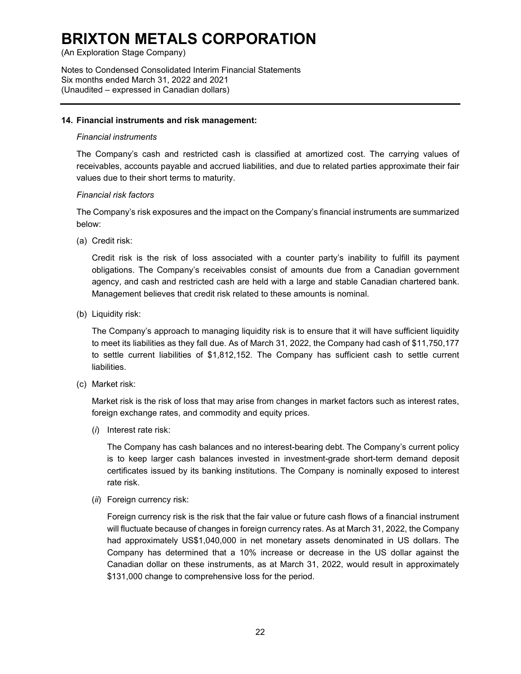(An Exploration Stage Company)

Notes to Condensed Consolidated Interim Financial Statements Six months ended March 31, 2022 and 2021 (Unaudited – expressed in Canadian dollars)

#### **14. Financial instruments and risk management:**

#### *Financial instruments*

The Company's cash and restricted cash is classified at amortized cost. The carrying values of receivables, accounts payable and accrued liabilities, and due to related parties approximate their fair values due to their short terms to maturity.

### *Financial risk factors*

The Company's risk exposures and the impact on the Company's financial instruments are summarized below:

(a) Credit risk:

Credit risk is the risk of loss associated with a counter party's inability to fulfill its payment obligations. The Company's receivables consist of amounts due from a Canadian government agency, and cash and restricted cash are held with a large and stable Canadian chartered bank. Management believes that credit risk related to these amounts is nominal.

(b) Liquidity risk:

The Company's approach to managing liquidity risk is to ensure that it will have sufficient liquidity to meet its liabilities as they fall due. As of March 31, 2022, the Company had cash of \$11,750,177 to settle current liabilities of \$1,812,152. The Company has sufficient cash to settle current liabilities.

(c) Market risk:

Market risk is the risk of loss that may arise from changes in market factors such as interest rates, foreign exchange rates, and commodity and equity prices.

(*i*) Interest rate risk:

The Company has cash balances and no interest-bearing debt. The Company's current policy is to keep larger cash balances invested in investment-grade short-term demand deposit certificates issued by its banking institutions. The Company is nominally exposed to interest rate risk.

(*ii*) Foreign currency risk:

Foreign currency risk is the risk that the fair value or future cash flows of a financial instrument will fluctuate because of changes in foreign currency rates. As at March 31, 2022, the Company had approximately US\$1,040,000 in net monetary assets denominated in US dollars. The Company has determined that a 10% increase or decrease in the US dollar against the Canadian dollar on these instruments, as at March 31, 2022, would result in approximately \$131,000 change to comprehensive loss for the period.